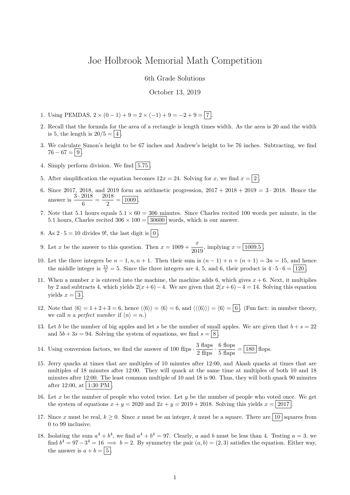## Joe Holbrook Memorial Math Competition

## 6th Grade Solutions

## October 13, 2019

- 1. Using PEMDAS,  $2 \times (0 1) + 9 = 2 \times (-1) + 9 = -2 + 9 = 7$ .
- 2. Recall that the formula for the area of a rectangle is length times width. As the area is 20 and the width is 5, the length is  $20/5 = |4|$ .
- 3. We calculate Simon's height to be 67 inches and Andrew's height to be 76 inches. Subtracting, we find  $76 - 67 = 9$ .
- 4. Simply perform division. We find  $\boxed{5.75}$
- 5. After simplification the equation becomes  $12x = 24$ . Solving for x, we find  $x = \boxed{2}$ .
- 6. Since 2017, 2018, and 2019 form an arithmetic progression,  $2017 + 2018 + 2019 = 3 \cdot 2018$ . Hence the answer is  $\frac{3 \cdot 2018}{c}$  $\frac{2018}{6} = \frac{2018}{2}$  $\frac{2}{2} = \boxed{1009}.$
- 7. Note that 5.1 hours equals  $5.1 \times 60 = 306$  minutes. Since Charles recited 100 words per minute, in the 5.1 hours, Charles recited  $306 \times 100 = |30600|$  words, which is our answer.
- 8. As  $2 \cdot 5 = 10$  divides 9!, the last digit is  $\boxed{0}$
- 9. Let x be the answer to this question. Then  $x = 1009 + \frac{x}{200}$  $\frac{x}{2019}$ , implying  $x = |1009.5|$ .
- 10. Let the three integers be  $n-1, n, n+1$ . Then their sum is  $(n-1) + n + (n+1) = 3n = 15$ , and hence the middle integer is  $\frac{15}{3} = 5$ . Since the three integers are 4, 5, and 6, their product is  $4 \cdot 5 \cdot 6 = 120$ .
- 11. When a number x is entered into the machine, the machine adds 6, which gives  $x + 6$ . Next, it multiplies by 2 and subtracts 4, which yields  $2(x+6)-4$ . We are given that  $2(x+6)-4=14$ . Solving this equation yields  $x = \boxed{3}$ .
- 12. Note that  $\langle 6 \rangle = 1 + 2 + 3 = 6$ , hence  $\langle 6 \rangle = \langle 6 \rangle = 6$ , and  $\langle 6 \rangle = 6 = 6$ . (Fun fact: in number theory, we call n a perfect number if  $\langle n \rangle = n$ .
- 13. Let b be the number of big apples and let s be the number of small apples. We are given that  $b + s = 22$ and  $5b + 3s = 94$ . Solving the system of equations, we find  $s = 8$ .
- 14. Using conversion factors, we find the answer of 100 flips  $\cdot \frac{3 \text{ flaps}}{2 \text{ flips}} \cdot \frac{6 \text{ flops}}{5 \text{ flaps}} = 180 \text{ flops}.$
- 15. Jerry quacks at times that are multiples of 10 minutes after 12:00, and Akash quacks at times that are multiples of 18 minutes after 12:00. They will quack at the same time at multiples of both 10 and 18 minutes after 12:00. The least common multiple of 10 and 18 is 90. Thus, they will both quack 90 minutes after 12:00, at 1:30 PM
- 16. Let x be the number of people who voted twice. Let y be the number of people who voted once. We get the system of equations  $x + y = 2020$  and  $2x + y = 2019 + 2018$ . Solving this yields  $x = |2017|$
- 17. Since x must be real,  $k \geq 0$ . Since x must be an integer, k must be a square. There are  $\boxed{10}$  squares from 0 to 99 inclusive.
- 18. Isolating the sum  $a^4 + b^4$ , we find  $a^4 + b^4 = 97$ . Clearly, a and b must be less than 4. Testing  $a = 3$ , we find  $b^4 = 97-3^4 = 16 \implies b = 2$ . By symmetry the pair  $(a, b) = (2, 3)$  satisfies the equation. Either way, the answer is  $a + b = \boxed{5}$ .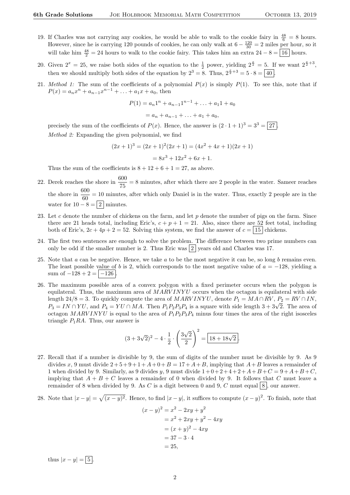- 19. If Charles was not carrying any cookies, he would be able to walk to the cookie fairy in  $\frac{48}{6} = 8$  hours. However, since he is carrying 120 pounds of cookies, he can only walk at  $6 - \frac{120}{30} = 2$  miles per hour, so it will take him  $\frac{48}{2} = 24$  hours to walk to the cookie fairy. This takes him an extra  $24 - 8 = \boxed{16}$  hours.
- 20. Given  $2^x = 25$ , we raise both sides of the equation to the  $\frac{1}{2}$  power, yielding  $2^{\frac{x}{2}} = 5$ . If we want  $2^{\frac{x}{2}+3}$ , then we should multiply both sides of the equation by  $2^3 = 8$ . Thus,  $2^{\frac{x}{2}+3} = 5 \cdot 8 = \boxed{40}$ .
- 21. Method 1: The sum of the coefficients of a polynomial  $P(x)$  is simply  $P(1)$ . To see this, note that if  $P(x) = a_n x^n + a_{n-1} x^{n-1} + \ldots + a_1 x + a_0$ , then

$$
P(1) = a_n 1^n + a_{n-1} 1^{n-1} + \dots + a_1 1 + a_0
$$
  
=  $a_n + a_{n-1} + \dots + a_1 + a_0$ ,

precisely the sum of the coefficients of  $P(x)$ . Hence, the answer is  $(2 \cdot 1 + 1)^3 = 3^3 = 27$ . Method 2: Expanding the given polynomial, we find

$$
(2x+1)3 = (2x+1)2(2x+1) = (4x2 + 4x + 1)(2x + 1)
$$

$$
= 8x3 + 12x2 + 6x + 1.
$$

Thus the sum of the coefficients is  $8 + 12 + 6 + 1 = 27$ , as above.

- 22. Derek reaches the shore in  $\frac{600}{75} = 8$  minutes, after which there are 2 people in the water. Sameer reaches the shore in  $\frac{600}{60} = 10$  minutes, after which only Daniel is in the water. Thus, exactly 2 people are in the water for  $10 - 8 = |2|$  minutes.
- 23. Let c denote the number of chickens on the farm, and let  $p$  denote the number of pigs on the farm. Since there are 21 heads total, including Eric's,  $c + p + 1 = 21$ . Also, since there are 52 feet total, including both of Eric's,  $2c + 4p + 2 = 52$ . Solving this system, we find the answer of  $c = \lfloor 15 \rfloor$  chickens.
- 24. The first two sentences are enough to solve the problem. The difference between two prime numbers can only be odd if the smaller number is 2. Thus Eric was  $|2|$  years old and Charles was 17.
- 25. Note that  $a$  can be negative. Hence, we take  $a$  to be the most negative it can be, so long  $b$  remains even. The least possible value of b is 2, which corresponds to the most negative value of  $a = -128$ , yielding a sum of  $-128 + 2 = -126$
- 26. The maximum possible area of a convex polygon with a fixed perimeter occurs when the polygon is equilateral. Thus, the maximum area of  $MARYINYU$  occurs when the octagon is equilateral with side length 24/8 = 3. To quickly compute the area of  $MARVINVU$ , denote  $P_1 = MA \cap RV$ ,  $P_2 = RV \cap IN$ , ength  $24/8 = 3$ . To quickly compute the area of *MARV INTU*, denote  $P_1 = M A + RV$ ,  $P_2 = RV + IIN$ ,  $P_3 = IN \cap YU$ , and  $P_4 = YU \cap MA$ . Then  $P_1P_2P_3P_4$  is a square with side length  $3 + 3\sqrt{2}$ . The area of octagon MARV INVU is equal to the area of  $P_1P_2P_3P_4$  minus four times the area of the right isosceles triangle  $P_1RA$ . Thus, our answer is

$$
(3+3\sqrt{2})^2 - 4 \cdot \frac{1}{2} \cdot \left(\frac{3\sqrt{2}}{2}\right)^2 = \boxed{18+18\sqrt{2}}.
$$

- 27. Recall that if a number is divisible by 9, the sum of digits of the number must be divisible by 9. As 9 divides x, 9 must divide  $2+5+9+1+ A+0+ B = 17+A+B$ , implying that  $A+B$  leaves a remainder of 1 when divided by 9. Similarly, as 9 divides y, 9 must divide  $1+0+2+4+2+A+B+C = 9+A+B+C$ , implying that  $A + B + C$  leaves a remainder of 0 when divided by 9. It follows that C must leave a remainder of 8 when divided by 9. As C is a digit between 0 and 9, C must equal  $\vert 8 \vert$ , our answer.
- 28. Note that  $|x-y| = \sqrt{(x-y)^2}$ . Hence, to find  $|x-y|$ , it suffices to compute  $(x-y)^2$ . To finish, note that

$$
(x - y)^2 = x^2 - 2xy + y^2
$$
  
= x<sup>2</sup> + 2xy + y<sup>2</sup> - 4xy  
= (x + y)<sup>2</sup> - 4xy  
= 37 - 3 · 4  
= 25,

thus  $|x-y| = 5$ .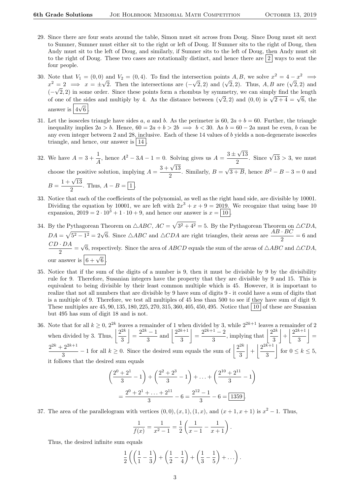- 29. Since there are four seats around the table, Simon must sit across from Doug. Since Doug must sit next to Sumner, Sumner must either sit to the right or left of Doug. If Sumner sits to the right of Doug, then Andy must sit to the left of Doug, and similarly, if Sumner sits to the left of Doug, then Andy must sit to the right of Doug. These two cases are rotationally distinct, and hence there are  $\frac{2}{3}$  ways to seat the four people.
- 30. Note that  $V_1 = (0,0)$  and  $V_2 = (0,4)$ . To find the intersection points  $A, B$ , we solve  $x^2 = 4 x^2 \implies$ Note that  $v_1 = (0,0)$  and  $v_2 = (0,4)$ . To find the intersection points A, B, we solve  $x = 4 - x \implies x^2 = 2 \implies x = \pm \sqrt{2}$ . Then the intersections are  $(-\sqrt{2}, 2)$  and  $(\sqrt{2}, 2)$ . Thus, A, B are  $(\sqrt{2}, 2)$  and  $(-\sqrt{2}, 2)$  in some order. Since these points form a rhombus by symmetry, we can simply find the length  $(-\sqrt{2}, 2)$  in some order. Since these points form a rhomous by symmetry, we can simply find the length of one of the sides and multiply by 4. As the distance between  $(\sqrt{2}, 2)$  and  $(0, 0)$  is  $\sqrt{2+4} = \sqrt{6}$ , the answer is  $\boxed{4\sqrt{6}}$ .
- 31. Let the isosceles triangle have sides a, a and b. As the perimeter is 60,  $2a + b = 60$ . Further, the triangle inequality implies  $2a > b$ . Hence,  $60 = 2a + b > 2b \implies b < 30$ . As  $b = 60 - 2a$  must be even, b can be any even integer between 2 and 28, inclusive. Each of these 14 values of b yields a non-degenerate isosceles triangle, and hence, our answer is  $|14|$ .
- 32. We have  $A = 3 + \frac{1}{4}$  $\frac{1}{A}$ , hence  $A^2 - 3A - 1 = 0$ . Solving gives us  $A = \frac{3 \pm \sqrt{3}}{2}$ √ 13  $\frac{\sqrt{13}}{2}$ . Since  $\sqrt{13} > 3$ , we must choose the positive solution, implying  $A = \frac{3 + \sqrt{13}}{2}$  $\frac{1}{2}$ . Similarly,  $B =$ √  $\overline{3+B}$ , hence  $B^2 - B - 3 = 0$  and  $B = \frac{1 + \sqrt{13}}{2}$  $\frac{1}{2}$ . Thus,  $A - B = \boxed{1}$ .
- 33. Notice that each of the coefficients of the polynomial, as well as the right hand side, are divisible by 10001. Dividing the equation by 10001, we are left with  $2x^3 + x + 9 = 2019$ . We recognize that using base 10 expansion,  $2019 = 2 \cdot 10^3 + 1 \cdot 10 + 9$ , and hence our answer is  $x = |10|$ .
- 34. By the Pythagorean Theorem on  $\triangle ABC$ ,  $AC = \sqrt{3^2 + 4^2} = 5$ . By the Pythagorean Theorem on  $\triangle CDA$ ,  $DA = \sqrt{5^2 - 1^2} = 2\sqrt{6}$ . Since  $\triangle ABC$  and  $\triangle CDA$  are right triangles, their areas are  $\frac{AB \cdot BC}{2} = 6$  and  $CD \cdot DA$  $\frac{2\pi}{2}$ √ 6, respectively. Since the area of ABCD equals the sum of the areas of  $\triangle ABC$  and  $\triangle CDA$ , our answer is  $\boxed{6 + \sqrt{6}}$ .
- 35. Notice that if the sum of the digits of a number is 9, then it must be divisible by 9 by the divisibility rule for 9. Therefore, Susanian integers have the property that they are divisible by 9 and 15. This is equivalent to being divisible by their least common multiple which is 45. However, it is important to realize that not all numbers that are divisible by 9 have sum of digits 9 - it could have a sum of digits that is a multiple of 9. Therefore, we test all multiples of 45 less than 500 to see if they have sum of digit 9. These multiples are  $45, 90, 135, 180, 225, 270, 315, 360, 405, 450, 495$ . Notice that  $\boxed{10}$  of these are Susanian but 495 has sum of digit 18 and is not.
- 36. Note that for all  $k \geq 0$ ,  $2^{2k}$  leaves a remainder of 1 when divided by 3, while  $2^{2k+1}$  leaves a remainder of 2 when divided by 3. Thus,  $\left| \frac{2^{2k}}{2} \right|$ 3  $=\frac{2^{2k}-1}{2}$  $\frac{(-1)}{3}$  and  $\frac{2^{2k+1}}{3}$ 3  $=\frac{2^{2k+1}-2}{2}$  $\frac{1-2}{3}$ , implying that  $\left|\frac{2^{2k}}{3}\right|$ 3  $\left|+\right| \frac{2^{2k+1}}{2}$ 3  $\vert$  =  $2^{2k}+2^{2k+1}$  $\frac{2^{2k+1}}{3} - 1$  for all  $k \ge 0$ . Since the desired sum equals the sum of  $\frac{2^{2k}}{3}$ 3  $\left|+\right| \frac{2^{2k+1}}{2}$ 3  $\left| \begin{array}{c} \text{for } 0 \leq k \leq 5, \end{array} \right|$ it follows that the desired sum equals

$$
\left(\frac{2^0+2^1}{3}-1\right)+\left(\frac{2^2+2^3}{3}-1\right)+\ldots+\left(\frac{2^{10}+2^{11}}{3}-1\right)
$$

$$
=\frac{2^0+2^1+\ldots+2^{11}}{3}-6=\frac{2^{12}-1}{3}-6=\boxed{1359}.
$$

37. The area of the parallelogram with vertices  $(0,0), (x,1), (1,x),$  and  $(x+1,x+1)$  is  $x^2-1$ . Thus,

$$
\frac{1}{f(x)} = \frac{1}{x^2 - 1} = \frac{1}{2} \left( \frac{1}{x - 1} - \frac{1}{x + 1} \right).
$$

Thus, the desired infinite sum equals

$$
\frac{1}{2}\left(\left(\frac{1}{1}-\frac{1}{3}\right)+\left(\frac{1}{2}-\frac{1}{4}\right)+\left(\frac{1}{3}-\frac{1}{5}\right)+\ldots\right).
$$